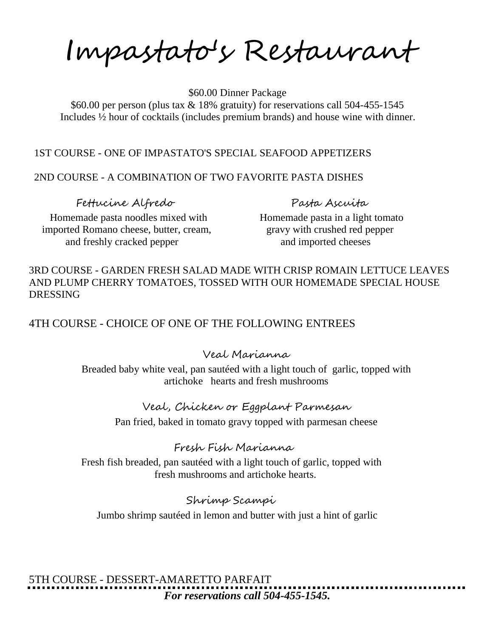Impastato's Restaurant

 \$60.00 Dinner Package \$60.00 per person (plus tax & 18% gratuity) for reservations call 504-455-1545 Includes ½ hour of cocktails (includes premium brands) and house wine with dinner.

### 1ST COURSE - ONE OF IMPASTATO'S SPECIAL SEAFOOD APPETIZERS

#### 2ND COURSE - A COMBINATION OF TWO FAVORITE PASTA DISHES

Fettucine Alfredo Pasta Ascuita

Homemade pasta noodles mixed with Homemade pasta in a light tomato imported Romano cheese, butter, cream, gravy with crushed red pepper and freshly cracked pepper and imported cheeses

3RD COURSE - GARDEN FRESH SALAD MADE WITH CRISP ROMAIN LETTUCE LEAVES AND PLUMP CHERRY TOMATOES, TOSSED WITH OUR HOMEMADE SPECIAL HOUSE DRESSING

4TH COURSE - CHOICE OF ONE OF THE FOLLOWING ENTREES

#### Veal Marianna

Breaded baby white veal, pan sautéed with a light touch of garlic, topped with artichoke hearts and fresh mushrooms

#### Veal, Chicken or Eggplant Parmesan

Pan fried, baked in tomato gravy topped with parmesan cheese

## Fresh Fish Marianna

 Fresh fish breaded, pan sautéed with a light touch of garlic, topped with fresh mushrooms and artichoke hearts.

## Shrimp Scampi

Jumbo shrimp sautéed in lemon and butter with just a hint of garlic

5TH COURSE - DESSERT-AMARETTO PARFAIT *For reservations call 504-455-1545.*